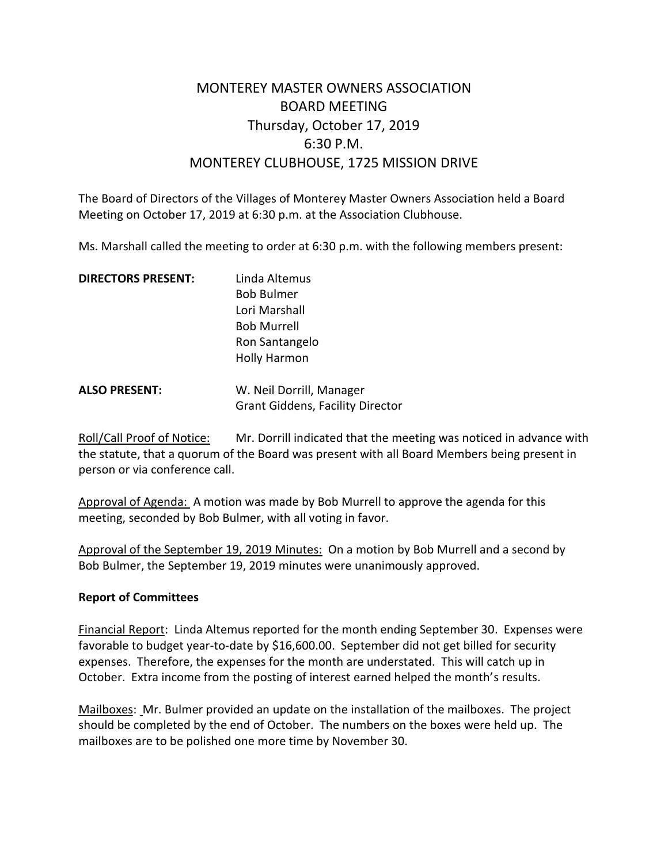## MONTEREY MASTER OWNERS ASSOCIATION BOARD MEETING Thursday, October 17, 2019 6:30 P.M. MONTEREY CLUBHOUSE, 1725 MISSION DRIVE

The Board of Directors of the Villages of Monterey Master Owners Association held a Board Meeting on October 17, 2019 at 6:30 p.m. at the Association Clubhouse.

Ms. Marshall called the meeting to order at 6:30 p.m. with the following members present:

| <b>DIRECTORS PRESENT:</b> | Linda Altemus<br><b>Bob Bulmer</b>      |
|---------------------------|-----------------------------------------|
|                           |                                         |
|                           | Lori Marshall                           |
|                           | <b>Bob Murrell</b>                      |
|                           | Ron Santangelo                          |
|                           | <b>Holly Harmon</b>                     |
| <b>ALSO PRESENT:</b>      | W. Neil Dorrill, Manager                |
|                           | <b>Grant Giddens, Facility Director</b> |

Roll/Call Proof of Notice: Mr. Dorrill indicated that the meeting was noticed in advance with the statute, that a quorum of the Board was present with all Board Members being present in person or via conference call.

Approval of Agenda: A motion was made by Bob Murrell to approve the agenda for this meeting, seconded by Bob Bulmer, with all voting in favor.

Approval of the September 19, 2019 Minutes: On a motion by Bob Murrell and a second by Bob Bulmer, the September 19, 2019 minutes were unanimously approved.

## **Report of Committees**

Financial Report: Linda Altemus reported for the month ending September 30. Expenses were favorable to budget year-to-date by \$16,600.00. September did not get billed for security expenses. Therefore, the expenses for the month are understated. This will catch up in October. Extra income from the posting of interest earned helped the month's results.

Mailboxes: Mr. Bulmer provided an update on the installation of the mailboxes. The project should be completed by the end of October. The numbers on the boxes were held up. The mailboxes are to be polished one more time by November 30.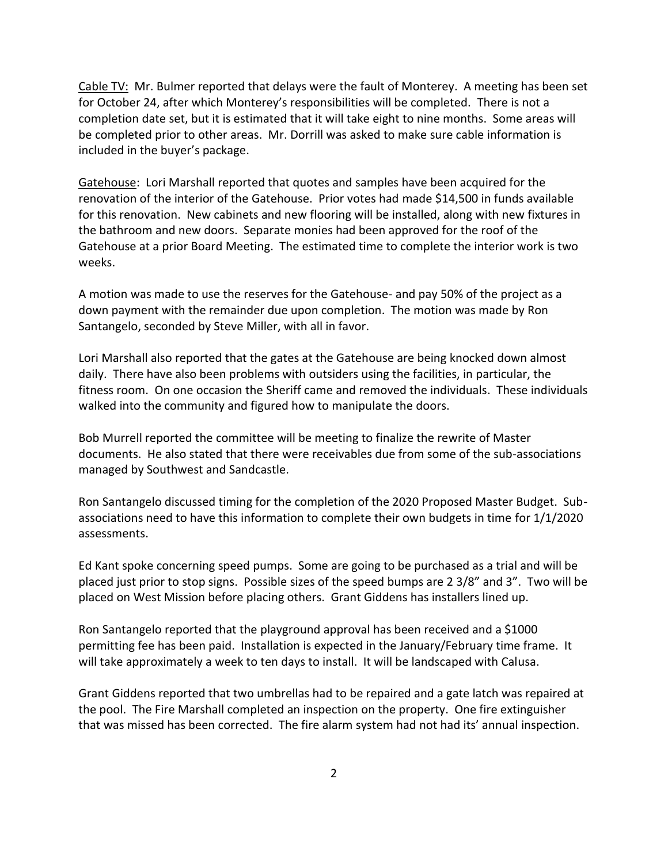Cable TV: Mr. Bulmer reported that delays were the fault of Monterey. A meeting has been set for October 24, after which Monterey's responsibilities will be completed. There is not a completion date set, but it is estimated that it will take eight to nine months. Some areas will be completed prior to other areas. Mr. Dorrill was asked to make sure cable information is included in the buyer's package.

Gatehouse: Lori Marshall reported that quotes and samples have been acquired for the renovation of the interior of the Gatehouse. Prior votes had made \$14,500 in funds available for this renovation. New cabinets and new flooring will be installed, along with new fixtures in the bathroom and new doors. Separate monies had been approved for the roof of the Gatehouse at a prior Board Meeting. The estimated time to complete the interior work is two weeks.

A motion was made to use the reserves for the Gatehouse- and pay 50% of the project as a down payment with the remainder due upon completion. The motion was made by Ron Santangelo, seconded by Steve Miller, with all in favor.

Lori Marshall also reported that the gates at the Gatehouse are being knocked down almost daily. There have also been problems with outsiders using the facilities, in particular, the fitness room. On one occasion the Sheriff came and removed the individuals. These individuals walked into the community and figured how to manipulate the doors.

Bob Murrell reported the committee will be meeting to finalize the rewrite of Master documents. He also stated that there were receivables due from some of the sub-associations managed by Southwest and Sandcastle.

Ron Santangelo discussed timing for the completion of the 2020 Proposed Master Budget. Subassociations need to have this information to complete their own budgets in time for 1/1/2020 assessments.

Ed Kant spoke concerning speed pumps. Some are going to be purchased as a trial and will be placed just prior to stop signs. Possible sizes of the speed bumps are 2 3/8" and 3". Two will be placed on West Mission before placing others. Grant Giddens has installers lined up.

Ron Santangelo reported that the playground approval has been received and a \$1000 permitting fee has been paid. Installation is expected in the January/February time frame. It will take approximately a week to ten days to install. It will be landscaped with Calusa.

Grant Giddens reported that two umbrellas had to be repaired and a gate latch was repaired at the pool. The Fire Marshall completed an inspection on the property. One fire extinguisher that was missed has been corrected. The fire alarm system had not had its' annual inspection.